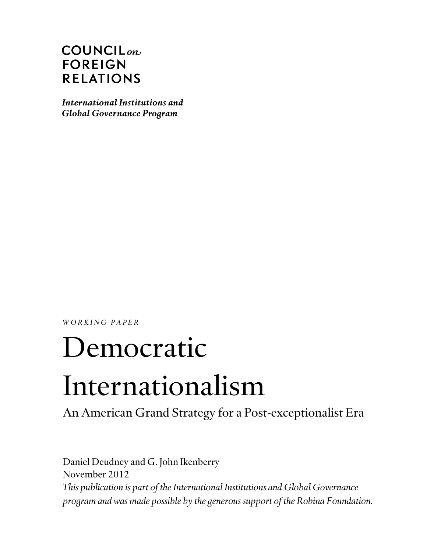# $COUNTLL_{on}$ **FOREIGN RELATIONS**

International Institutions and **Global Governance Program** 

*WORKING PAPER* 

# Democratic Internationalism

An American Grand Strategy for a Post-exceptionalist Era

Daniel Deudney and G. John Ikenberry November 2012 *This publication is part of the International Institutions and Global Governance program and was made possible by the generous support of the Robina Foundation.*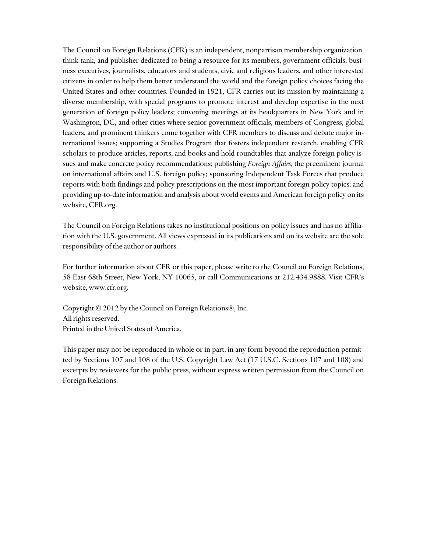The Council on Foreign Relations (CFR) is an independent, nonpartisan membership organization, think tank, and publisher dedicated to being a resource for its members, government officials, business executives, journalists, educators and students, civic and religious leaders, and other interested citizens in order to help them better understand the world and the foreign policy choices facing the United States and other countries. Founded in 1921, CFR carries out its mission by maintaining a diverse membership, with special programs to promote interest and develop expertise in the next generation of foreign policy leaders; convening meetings at its headquarters in New York and in Washington, DC, and other cities where senior government officials, members of Congress, global leaders, and prominent thinkers come together with CFR members to discuss and debate major international issues; supporting a Studies Program that fosters independent research, enabling CFR scholars to produce articles, reports, and books and hold roundtables that analyze foreign policy issues and make concrete policy recommendations; publishing *Foreign Affairs*, the preeminent journal on international affairs and U.S. foreign policy; sponsoring Independent Task Forces that produce reports with both findings and policy prescriptions on the most important foreign policy topics; and providing up-to-date information and analysis about world events and American foreign policy on its website, CFR.org.

The Council on Foreign Relations takes no institutional positions on policy issues and has no affiliation with the U.S. government. All views expressed in its publications and on its website are the sole responsibility of the author or authors.

For further information about CFR or this paper, please write to the Council on Foreign Relations, 58 East 68th Street, New York, NY 10065, or call Communications at 212.434.9888. Visit CFR's website, www.cfr.org.

Copyright © 2012 by the Council on Foreign Relations®, Inc. All rights reserved. Printed in the United States of America.

This paper may not be reproduced in whole or in part, in any form beyond the reproduction permitted by Sections 107 and 108 of the U.S. Copyright Law Act (17 U.S.C. Sections 107 and 108) and excerpts by reviewers for the public press, without express written permission from the Council on Foreign Relations.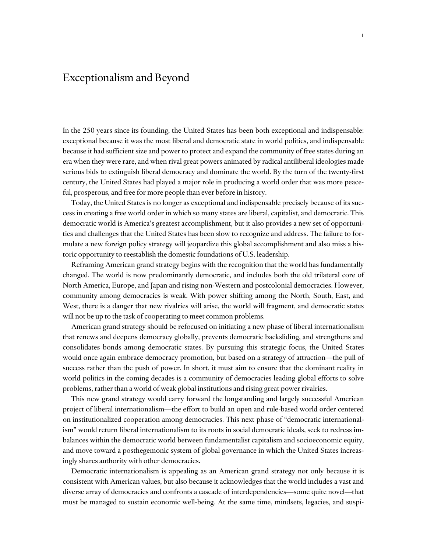## Exceptionalism and Beyond

In the 250 years since its founding, the United States has been both exceptional and indispensable: exceptional because it was the most liberal and democratic state in world politics, and indispensable because it had sufficient size and power to protect and expand the community of free states during an era when they were rare, and when rival great powers animated by radical antiliberal ideologies made serious bids to extinguish liberal democracy and dominate the world. By the turn of the twenty-first century, the United States had played a major role in producing a world order that was more peaceful, prosperous, and free for more people than ever before in history.

Today, the United States is no longer as exceptional and indispensable precisely because of its success in creating a free world order in which so many states are liberal, capitalist, and democratic. This democratic world is America's greatest accomplishment, but it also provides a new set of opportunities and challenges that the United States has been slow to recognize and address. The failure to formulate a new foreign policy strategy will jeopardize this global accomplishment and also miss a historic opportunity to reestablish the domestic foundations of U.S. leadership.

Reframing American grand strategy begins with the recognition that the world has fundamentally changed. The world is now predominantly democratic, and includes both the old trilateral core of North America, Europe, and Japan and rising non-Western and postcolonial democracies. However, community among democracies is weak. With power shifting among the North, South, East, and West, there is a danger that new rivalries will arise, the world will fragment, and democratic states will not be up to the task of cooperating to meet common problems.

American grand strategy should be refocused on initiating a new phase of liberal internationalism that renews and deepens democracy globally, prevents democratic backsliding, and strengthens and consolidates bonds among democratic states. By pursuing this strategic focus, the United States would once again embrace democracy promotion, but based on a strategy of attraction—the pull of success rather than the push of power. In short, it must aim to ensure that the dominant reality in world politics in the coming decades is a community of democracies leading global efforts to solve problems, rather than a world of weak global institutions and rising great power rivalries.

This new grand strategy would carry forward the longstanding and largely successful American project of liberal internationalism—the effort to build an open and rule-based world order centered on institutionalized cooperation among democracies. This next phase of "democratic internationalism" would return liberal internationalism to its roots in social democratic ideals, seek to redress imbalances within the democratic world between fundamentalist capitalism and socioeconomic equity, and move toward a posthegemonic system of global governance in which the United States increasingly shares authority with other democracies.

Democratic internationalism is appealing as an American grand strategy not only because it is consistent with American values, but also because it acknowledges that the world includes a vast and diverse array of democracies and confronts a cascade of interdependencies—some quite novel—that must be managed to sustain economic well-being. At the same time, mindsets, legacies, and suspi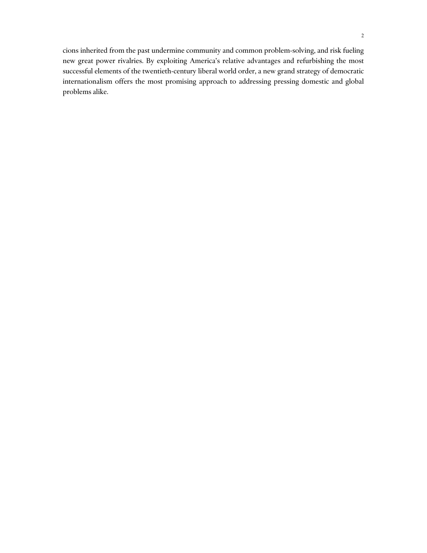cions inherited from the past undermine community and common problem-solving, and risk fueling new great power rivalries. By exploiting America's relative advantages and refurbishing the most successful elements of the twentieth-century liberal world order, a new grand strategy of democratic internationalism offers the most promising approach to addressing pressing domestic and global problems alike.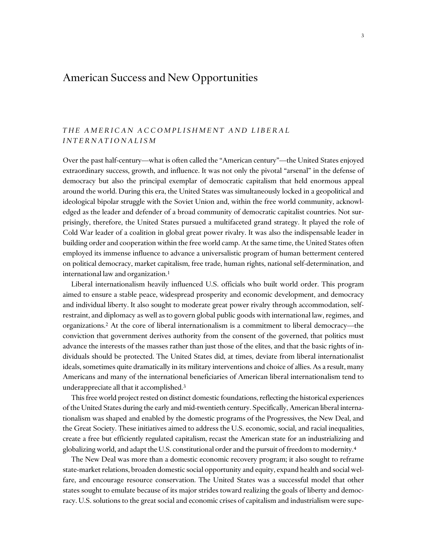## American Success and New Opportunities

## *THE AMERICAN ACCOMPLISHMENT AND LIBERAL INTERNATIONALISM*

Over the past half-century—what is often called the "American century"—the United States enjoyed extraordinary success, growth, and influence. It was not only the pivotal "arsenal" in the defense of democracy but also the principal exemplar of democratic capitalism that held enormous appeal around the world. During this era, the United States was simultaneously locked in a geopolitical and ideological bipolar struggle with the Soviet Union and, within the free world community, acknowledged as the leader and defender of a broad community of democratic capitalist countries. Not surprisingly, therefore, the United States pursued a multifaceted grand strategy. It played the role of Cold War leader of a coalition in global great power rivalry. It was also the indispensable leader in building order and cooperation within the free world camp. At the same time, the United States often employed its immense influence to advance a universalistic program of human betterment centered on political democracy, market capitalism, free trade, human rights, national self-determination, and international law and organization.<sup>1</sup>

 Liberal internationalism heavily influenced U.S. officials who built world order. This program aimed to ensure a stable peace, widespread prosperity and economic development, and democracy and individual liberty. It also sought to moderate great power rivalry through accommodation, selfrestraint, and diplomacy as well as to govern global public goods with international law, regimes, and organizations.2 At the core of liberal internationalism is a commitment to liberal democracy—the conviction that government derives authority from the consent of the governed, that politics must advance the interests of the masses rather than just those of the elites, and that the basic rights of individuals should be protected. The United States did, at times, deviate from liberal internationalist ideals, sometimes quite dramatically in its military interventions and choice of allies. As a result, many Americans and many of the international beneficiaries of American liberal internationalism tend to underappreciate all that it accomplished.3

This free world project rested on distinct domestic foundations, reflecting the historical experiences of the United States during the early and mid-twentieth century. Specifically, American liberal internationalism was shaped and enabled by the domestic programs of the Progressives, the New Deal, and the Great Society. These initiatives aimed to address the U.S. economic, social, and racial inequalities, create a free but efficiently regulated capitalism, recast the American state for an industrializing and globalizing world, and adapt the U.S. constitutional order and the pursuit of freedom to modernity.4

The New Deal was more than a domestic economic recovery program; it also sought to reframe state-market relations, broaden domestic social opportunity and equity, expand health and social welfare, and encourage resource conservation. The United States was a successful model that other states sought to emulate because of its major strides toward realizing the goals of liberty and democracy. U.S. solutions to the great social and economic crises of capitalism and industrialism were supe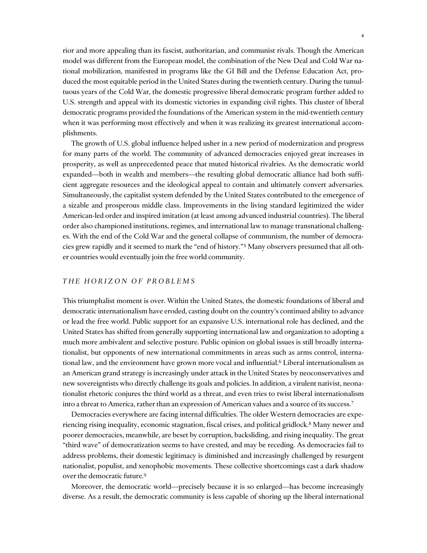rior and more appealing than its fascist, authoritarian, and communist rivals. Though the American model was different from the European model, the combination of the New Deal and Cold War national mobilization, manifested in programs like the GI Bill and the Defense Education Act, produced the most equitable period in the United States during the twentieth century. During the tumultuous years of the Cold War, the domestic progressive liberal democratic program further added to U.S. strength and appeal with its domestic victories in expanding civil rights. This cluster of liberal democratic programs provided the foundations of the American system in the mid-twentieth century when it was performing most effectively and when it was realizing its greatest international accomplishments.

The growth of U.S. global influence helped usher in a new period of modernization and progress for many parts of the world. The community of advanced democracies enjoyed great increases in prosperity, as well as unprecedented peace that muted historical rivalries. As the democratic world expanded—both in wealth and members—the resulting global democratic alliance had both sufficient aggregate resources and the ideological appeal to contain and ultimately convert adversaries. Simultaneously, the capitalist system defended by the United States contributed to the emergence of a sizable and prosperous middle class. Improvements in the living standard legitimized the wider American-led order and inspired imitation (at least among advanced industrial countries). The liberal order also championed institutions, regimes, and international law to manage transnational challenges. With the end of the Cold War and the general collapse of communism, the number of democracies grew rapidly and it seemed to mark the "end of history."5 Many observers presumed that all other countries would eventually join the free world community.

#### *THE HORIZON OF PROBLEMS*

This triumphalist moment is over. Within the United States, the domestic foundations of liberal and democratic internationalism have eroded, casting doubt on the country's continued ability to advance or lead the free world. Public support for an expansive U.S. international role has declined, and the United States has shifted from generally supporting international law and organization to adopting a much more ambivalent and selective posture. Public opinion on global issues is still broadly internationalist, but opponents of new international commitments in areas such as arms control, international law, and the environment have grown more vocal and influential.6 Liberal internationalism as an American grand strategy is increasingly under attack in the United States by neoconservatives and new sovereigntists who directly challenge its goals and policies. In addition, a virulent nativist, neonationalist rhetoric conjures the third world as a threat, and even tries to twist liberal internationalism into a threat to America, rather than an expression of American values and a source of its success.7

Democracies everywhere are facing internal difficulties. The older Western democracies are experiencing rising inequality, economic stagnation, fiscal crises, and political gridlock.8 Many newer and poorer democracies, meanwhile, are beset by corruption, backsliding, and rising inequality. The great "third wave" of democratization seems to have crested, and may be receding. As democracies fail to address problems, their domestic legitimacy is diminished and increasingly challenged by resurgent nationalist, populist, and xenophobic movements. These collective shortcomings cast a dark shadow over the democratic future.9

Moreover, the democratic world—precisely because it is so enlarged—has become increasingly diverse. As a result, the democratic community is less capable of shoring up the liberal international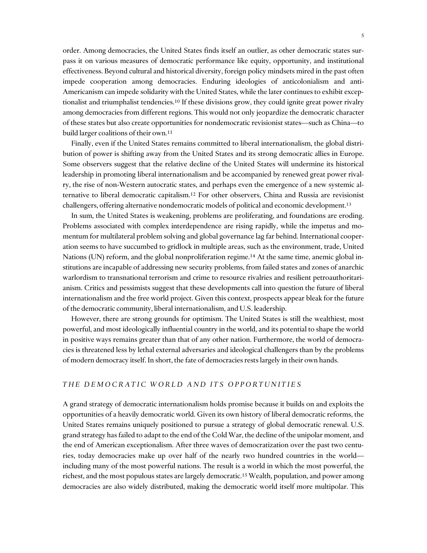order. Among democracies, the United States finds itself an outlier, as other democratic states surpass it on various measures of democratic performance like equity, opportunity, and institutional effectiveness. Beyond cultural and historical diversity, foreign policy mindsets mired in the past often impede cooperation among democracies. Enduring ideologies of anticolonialism and anti-Americanism can impede solidarity with the United States, while the later continues to exhibit exceptionalist and triumphalist tendencies.10 If these divisions grow, they could ignite great power rivalry among democracies from different regions. This would not only jeopardize the democratic character of these states but also create opportunities for nondemocratic revisionist states—such as China—to build larger coalitions of their own.11

Finally, even if the United States remains committed to liberal internationalism, the global distribution of power is shifting away from the United States and its strong democratic allies in Europe. Some observers suggest that the relative decline of the United States will undermine its historical leadership in promoting liberal internationalism and be accompanied by renewed great power rivalry, the rise of non-Western autocratic states, and perhaps even the emergence of a new systemic alternative to liberal democratic capitalism.12 For other observers, China and Russia are revisionist challengers, offering alternative nondemocratic models of political and economic development.13

 In sum, the United States is weakening, problems are proliferating, and foundations are eroding. Problems associated with complex interdependence are rising rapidly, while the impetus and momentum for multilateral problem solving and global governance lag far behind. International cooperation seems to have succumbed to gridlock in multiple areas, such as the environment, trade, United Nations (UN) reform, and the global nonproliferation regime.<sup>14</sup> At the same time, anemic global institutions are incapable of addressing new security problems, from failed states and zones of anarchic warlordism to transnational terrorism and crime to resource rivalries and resilient petroauthoritarianism. Critics and pessimists suggest that these developments call into question the future of liberal internationalism and the free world project. Given this context, prospects appear bleak for the future of the democratic community, liberal internationalism, and U.S. leadership.

However, there are strong grounds for optimism. The United States is still the wealthiest, most powerful, and most ideologically influential country in the world, and its potential to shape the world in positive ways remains greater than that of any other nation. Furthermore, the world of democracies is threatened less by lethal external adversaries and ideological challengers than by the problems of modern democracy itself. In short, the fate of democracies rests largely in their own hands.

#### *THE DEMOCRATIC WORLD AND ITS OPPORTUNITIES*

A grand strategy of democratic internationalism holds promise because it builds on and exploits the opportunities of a heavily democratic world. Given its own history of liberal democratic reforms, the United States remains uniquely positioned to pursue a strategy of global democratic renewal. U.S. grand strategy has failed to adapt to the end of the Cold War, the decline of the unipolar moment, and the end of American exceptionalism. After three waves of democratization over the past two centuries, today democracies make up over half of the nearly two hundred countries in the world including many of the most powerful nations. The result is a world in which the most powerful, the richest, and the most populous states are largely democratic.15 Wealth, population, and power among democracies are also widely distributed, making the democratic world itself more multipolar. This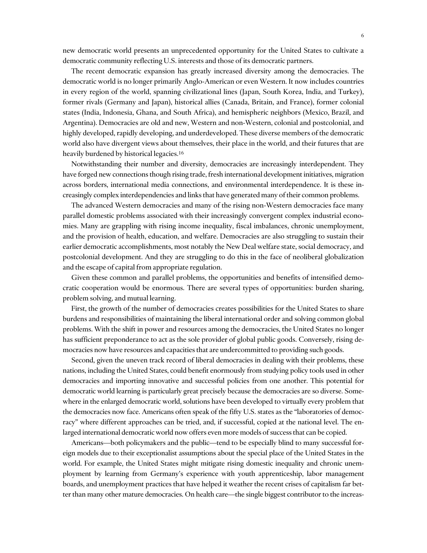new democratic world presents an unprecedented opportunity for the United States to cultivate a democratic community reflecting U.S. interests and those of its democratic partners.

 The recent democratic expansion has greatly increased diversity among the democracies. The democratic world is no longer primarily Anglo-American or even Western. It now includes countries in every region of the world, spanning civilizational lines (Japan, South Korea, India, and Turkey), former rivals (Germany and Japan), historical allies (Canada, Britain, and France), former colonial states (India, Indonesia, Ghana, and South Africa), and hemispheric neighbors (Mexico, Brazil, and Argentina). Democracies are old and new, Western and non-Western, colonial and postcolonial, and highly developed, rapidly developing, and underdeveloped. These diverse members of the democratic world also have divergent views about themselves, their place in the world, and their futures that are heavily burdened by historical legacies.<sup>16</sup>

Notwithstanding their number and diversity, democracies are increasingly interdependent. They have forged new connections though rising trade, fresh international development initiatives, migration across borders, international media connections, and environmental interdependence. It is these increasingly complex interdependencies and links that have generated many of their common problems.

The advanced Western democracies and many of the rising non-Western democracies face many parallel domestic problems associated with their increasingly convergent complex industrial economies. Many are grappling with rising income inequality, fiscal imbalances, chronic unemployment, and the provision of health, education, and welfare. Democracies are also struggling to sustain their earlier democratic accomplishments, most notably the New Deal welfare state, social democracy, and postcolonial development. And they are struggling to do this in the face of neoliberal globalization and the escape of capital from appropriate regulation.

Given these common and parallel problems, the opportunities and benefits of intensified democratic cooperation would be enormous. There are several types of opportunities: burden sharing, problem solving, and mutual learning.

First, the growth of the number of democracies creates possibilities for the United States to share burdens and responsibilities of maintaining the liberal international order and solving common global problems. With the shift in power and resources among the democracies, the United States no longer has sufficient preponderance to act as the sole provider of global public goods. Conversely, rising democracies now have resources and capacities that are undercommitted to providing such goods.

Second, given the uneven track record of liberal democracies in dealing with their problems, these nations, including the United States, could benefit enormously from studying policy tools used in other democracies and importing innovative and successful policies from one another. This potential for democratic world learning is particularly great precisely because the democracies are so diverse. Somewhere in the enlarged democratic world, solutions have been developed to virtually every problem that the democracies now face. Americans often speak of the fifty U.S. states as the "laboratories of democracy" where different approaches can be tried, and, if successful, copied at the national level. The enlarged international democratic world now offers even more models of success that can be copied.

Americans—both policymakers and the public—tend to be especially blind to many successful foreign models due to their exceptionalist assumptions about the special place of the United States in the world. For example, the United States might mitigate rising domestic inequality and chronic unemployment by learning from Germany's experience with youth apprenticeship, labor management boards, and unemployment practices that have helped it weather the recent crises of capitalism far better than many other mature democracies. On health care—the single biggest contributor to the increas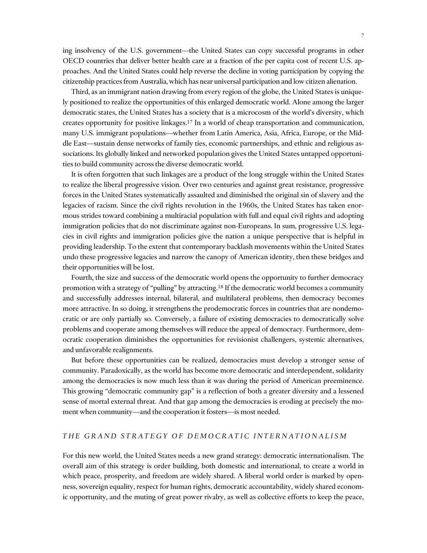ing insolvency of the U.S. government—the United States can copy successful programs in other OECD countries that deliver better health care at a fraction of the per capita cost of recent U.S. approaches. And the United States could help reverse the decline in voting participation by copying the citizenship practices from Australia, which has near universal participation and low citizen alienation.

Third, as an immigrant nation drawing from every region of the globe, the United States is uniquely positioned to realize the opportunities of this enlarged democratic world. Alone among the larger democratic states, the United States has a society that is a microcosm of the world's diversity, which creates opportunity for positive linkages.17 In a world of cheap transportation and communication, many U.S. immigrant populations—whether from Latin America, Asia, Africa, Europe, or the Middle East—sustain dense networks of family ties, economic partnerships, and ethnic and religious associations. Its globally linked and networked population gives the United States untapped opportunities to build community across the diverse democratic world.

It is often forgotten that such linkages are a product of the long struggle within the United States to realize the liberal progressive vision. Over two centuries and against great resistance, progressive forces in the United States systematically assaulted and diminished the original sin of slavery and the legacies of racism. Since the civil rights revolution in the 1960s, the United States has taken enormous strides toward combining a multiracial population with full and equal civil rights and adopting immigration policies that do not discriminate against non-Europeans. In sum, progressive U.S. legacies in civil rights and immigration policies give the nation a unique perspective that is helpful in providing leadership. To the extent that contemporary backlash movements within the United States undo these progressive legacies and narrow the canopy of American identity, then these bridges and their opportunities will be lost.

Fourth, the size and success of the democratic world opens the opportunity to further democracy promotion with a strategy of "pulling" by attracting.18 If the democratic world becomes a community and successfully addresses internal, bilateral, and multilateral problems, then democracy becomes more attractive. In so doing, it strengthens the prodemocratic forces in countries that are nondemocratic or are only partially so. Conversely, a failure of existing democracies to democratically solve problems and cooperate among themselves will reduce the appeal of democracy. Furthermore, democratic cooperation diminishes the opportunities for revisionist challengers, systemic alternatives, and unfavorable realignments.

But before these opportunities can be realized, democracies must develop a stronger sense of community. Paradoxically, as the world has become more democratic and interdependent, solidarity among the democracies is now much less than it was during the period of American preeminence. This growing "democratic community gap" is a reflection of both a greater diversity and a lessened sense of mortal external threat. And that gap among the democracies is eroding at precisely the moment when community—and the cooperation it fosters—is most needed.

### *THE GRAND STRATEGY OF DEMOCRATIC INTERNATIONALISM*

For this new world, the United States needs a new grand strategy: democratic internationalism. The overall aim of this strategy is order building, both domestic and international, to create a world in which peace, prosperity, and freedom are widely shared. A liberal world order is marked by openness, sovereign equality, respect for human rights, democratic accountability, widely shared economic opportunity, and the muting of great power rivalry, as well as collective efforts to keep the peace,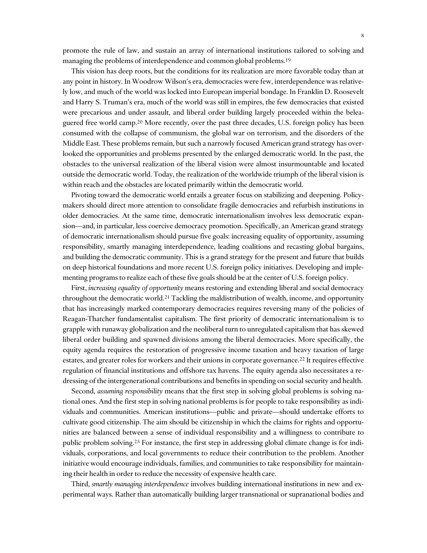promote the rule of law, and sustain an array of international institutions tailored to solving and managing the problems of interdependence and common global problems.<sup>19</sup>

This vision has deep roots, but the conditions for its realization are more favorable today than at any point in history. In Woodrow Wilson's era, democracies were few, interdependence was relatively low, and much of the world was locked into European imperial bondage. In Franklin D. Roosevelt and Harry S. Truman's era, much of the world was still in empires, the few democracies that existed were precarious and under assault, and liberal order building largely proceeded within the beleaguered free world camp.<sup>20</sup> More recently, over the past three decades, U.S. foreign policy has been consumed with the collapse of communism, the global war on terrorism, and the disorders of the Middle East. These problems remain, but such a narrowly focused American grand strategy has overlooked the opportunities and problems presented by the enlarged democratic world. In the past, the obstacles to the universal realization of the liberal vision were almost insurmountable and located outside the democratic world. Today, the realization of the worldwide triumph of the liberal vision is within reach and the obstacles are located primarily within the democratic world.

Pivoting toward the democratic world entails a greater focus on stabilizing and deepening. Policymakers should direct more attention to consolidate fragile democracies and refurbish institutions in older democracies. At the same time, democratic internationalism involves less democratic expansion—and, in particular, less coercive democracy promotion. Specifically, an American grand strategy of democratic internationalism should pursue five goals: increasing equality of opportunity, assuming responsibility, smartly managing interdependence, leading coalitions and recasting global bargains, and building the democratic community. This is a grand strategy for the present and future that builds on deep historical foundations and more recent U.S. foreign policy initiatives. Developing and implementing programs to realize each of these five goals should be at the center of U.S. foreign policy.

First, *increasing equality of opportunity* means restoring and extending liberal and social democracy throughout the democratic world.21 Tackling the maldistribution of wealth, income, and opportunity that has increasingly marked contemporary democracies requires reversing many of the policies of Reagan-Thatcher fundamentalist capitalism. The first priority of democratic internationalism is to grapple with runaway globalization and the neoliberal turn to unregulated capitalism that has skewed liberal order building and spawned divisions among the liberal democracies. More specifically, the equity agenda requires the restoration of progressive income taxation and heavy taxation of large estates, and greater roles for workers and their unions in corporate governance.<sup>22</sup> It requires effective regulation of financial institutions and offshore tax havens. The equity agenda also necessitates a redressing of the intergenerational contributions and benefits in spending on social security and health.

Second, *assuming responsibility* means that the first step in solving global problems is solving national ones. And the first step in solving national problems is for people to take responsibility as individuals and communities. American institutions—public and private—should undertake efforts to cultivate good citizenship. The aim should be citizenship in which the claims for rights and opportunities are balanced between a sense of individual responsibility and a willingness to contribute to public problem solving.23 For instance, the first step in addressing global climate change is for individuals, corporations, and local governments to reduce their contribution to the problem. Another initiative would encourage individuals, families, and communities to take responsibility for maintaining their health in order to reduce the necessity of expensive health care.

Third, *smartly managing interdependence* involves building international institutions in new and experimental ways. Rather than automatically building larger transnational or supranational bodies and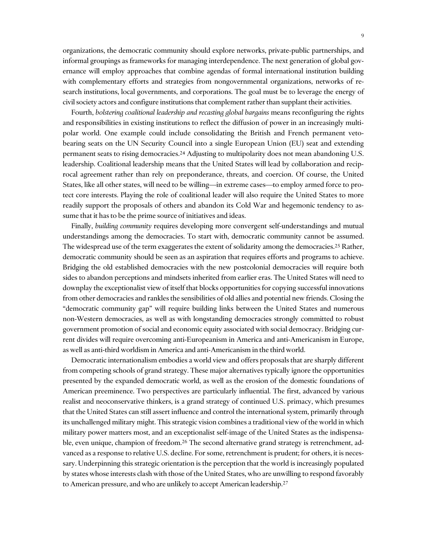organizations, the democratic community should explore networks, private-public partnerships, and informal groupings as frameworks for managing interdependence. The next generation of global governance will employ approaches that combine agendas of formal international institution building with complementary efforts and strategies from nongovernmental organizations, networks of research institutions, local governments, and corporations. The goal must be to leverage the energy of civil society actors and configure institutions that complement rather than supplant their activities.

Fourth, *bolstering coalitional leadership and recasting global bargains* means reconfiguring the rights and responsibilities in existing institutions to reflect the diffusion of power in an increasingly multipolar world. One example could include consolidating the British and French permanent vetobearing seats on the UN Security Council into a single European Union (EU) seat and extending permanent seats to rising democracies.24 Adjusting to multipolarity does not mean abandoning U.S. leadership. Coalitional leadership means that the United States will lead by collaboration and reciprocal agreement rather than rely on preponderance, threats, and coercion. Of course, the United States, like all other states, will need to be willing—in extreme cases—to employ armed force to protect core interests. Playing the role of coalitional leader will also require the United States to more readily support the proposals of others and abandon its Cold War and hegemonic tendency to assume that it has to be the prime source of initiatives and ideas.

Finally, *building community* requires developing more convergent self-understandings and mutual understandings among the democracies. To start with, democratic community cannot be assumed. The widespread use of the term exaggerates the extent of solidarity among the democracies.<sup>25</sup> Rather, democratic community should be seen as an aspiration that requires efforts and programs to achieve. Bridging the old established democracies with the new postcolonial democracies will require both sides to abandon perceptions and mindsets inherited from earlier eras. The United States will need to downplay the exceptionalist view of itself that blocks opportunities for copying successful innovations from other democracies and rankles the sensibilities of old allies and potential new friends. Closing the "democratic community gap" will require building links between the United States and numerous non-Western democracies, as well as with longstanding democracies strongly committed to robust government promotion of social and economic equity associated with social democracy. Bridging current divides will require overcoming anti-Europeanism in America and anti-Americanism in Europe, as well as anti-third worldism in America and anti-Americanism in the third world.

Democratic internationalism embodies a world view and offers proposals that are sharply different from competing schools of grand strategy. These major alternatives typically ignore the opportunities presented by the expanded democratic world, as well as the erosion of the domestic foundations of American preeminence. Two perspectives are particularly influential. The first, advanced by various realist and neoconservative thinkers, is a grand strategy of continued U.S. primacy, which presumes that the United States can still assert influence and control the international system, primarily through its unchallenged military might. This strategic vision combines a traditional view of the world in which military power matters most, and an exceptionalist self-image of the United States as the indispensable, even unique, champion of freedom.26 The second alternative grand strategy is retrenchment, advanced as a response to relative U.S. decline. For some, retrenchment is prudent; for others, it is necessary. Underpinning this strategic orientation is the perception that the world is increasingly populated by states whose interests clash with those of the United States, who are unwilling to respond favorably to American pressure, and who are unlikely to accept American leadership.27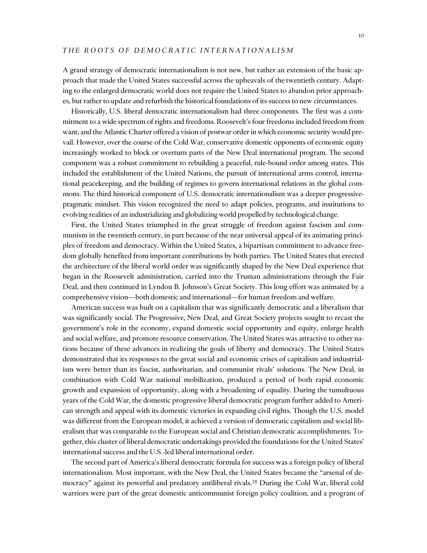A grand strategy of democratic internationalism is not new, but rather an extension of the basic approach that made the United States successful across the upheavals of the twentieth century. Adapting to the enlarged democratic world does not require the United States to abandon prior approaches, but rather to update and refurbish the historical foundations of its success to new circumstances.

Historically, U.S. liberal democratic internationalism had three components. The first was a commitment to a wide spectrum of rights and freedoms. Roosevelt's four freedoms included freedom from want, and the Atlantic Charter offered a vision of postwar order in which economic security would prevail. However, over the course of the Cold War, conservative domestic opponents of economic equity increasingly worked to block or overturn parts of the New Deal international program. The second component was a robust commitment to rebuilding a peaceful, rule-bound order among states. This included the establishment of the United Nations, the pursuit of international arms control, international peacekeeping, and the building of regimes to govern international relations in the global commons. The third historical component of U.S. democratic internationalism was a deeper progressivepragmatic mindset. This vision recognized the need to adapt policies, programs, and institutions to evolving realities of an industrializing and globalizing world propelled by technological change.

First, the United States triumphed in the great struggle of freedom against fascism and communism in the twentieth century, in part because of the near universal appeal of its animating principles of freedom and democracy. Within the United States, a bipartisan commitment to advance freedom globally benefited from important contributions by both parties. The United States that erected the architecture of the liberal world order was significantly shaped by the New Deal experience that began in the Roosevelt administration, carried into the Truman administrations through the Fair Deal, and then continued in Lyndon B. Johnson's Great Society. This long effort was animated by a comprehensive vision—both domestic and international—for human freedom and welfare.

American success was built on a capitalism that was significantly democratic and a liberalism that was significantly social. The Progressive, New Deal, and Great Society projects sought to recast the government's role in the economy, expand domestic social opportunity and equity, enlarge health and social welfare, and promote resource conservation. The United States was attractive to other nations because of these advances in realizing the goals of liberty and democracy. The United States demonstrated that its responses to the great social and economic crises of capitalism and industrialism were better than its fascist, authoritarian, and communist rivals' solutions. The New Deal, in combination with Cold War national mobilization, produced a period of both rapid economic growth and expansion of opportunity, along with a broadening of equality. During the tumultuous years of the Cold War, the domestic progressive liberal democratic program further added to American strength and appeal with its domestic victories in expanding civil rights. Though the U.S. model was different from the European model, it achieved a version of democratic capitalism and social liberalism that was comparable to the European social and Christian democratic accomplishments. Together, this cluster of liberal democratic undertakings provided the foundations for the United States' international success and the U.S.-led liberal international order.

The second part of America's liberal democratic formula for success was a foreign policy of liberal internationalism. Most important, with the New Deal, the United States became the "arsenal of democracy" against its powerful and predatory antiliberal rivals.28 During the Cold War, liberal cold warriors were part of the great domestic anticommunist foreign policy coalition, and a program of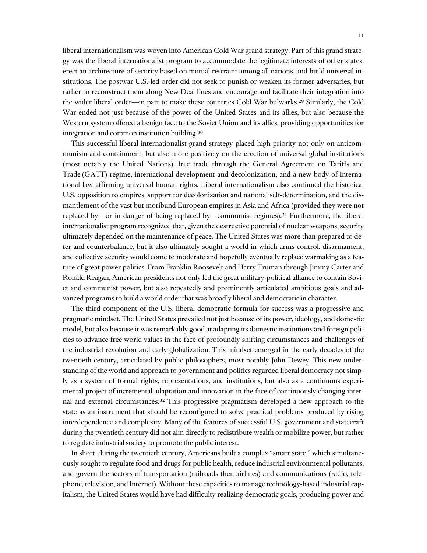liberal internationalism was woven into American Cold War grand strategy. Part of this grand strategy was the liberal internationalist program to accommodate the legitimate interests of other states, erect an architecture of security based on mutual restraint among all nations, and build universal institutions. The postwar U.S.-led order did not seek to punish or weaken its former adversaries, but rather to reconstruct them along New Deal lines and encourage and facilitate their integration into the wider liberal order—in part to make these countries Cold War bulwarks.29 Similarly, the Cold War ended not just because of the power of the United States and its allies, but also because the Western system offered a benign face to the Soviet Union and its allies, providing opportunities for integration and common institution building.30

This successful liberal internationalist grand strategy placed high priority not only on anticommunism and containment, but also more positively on the erection of universal global institutions (most notably the United Nations), free trade through the General Agreement on Tariffs and Trade (GATT) regime, international development and decolonization, and a new body of international law affirming universal human rights. Liberal internationalism also continued the historical U.S. opposition to empires, support for decolonization and national self-determination, and the dismantlement of the vast but moribund European empires in Asia and Africa (provided they were not replaced by—or in danger of being replaced by—communist regimes).31 Furthermore, the liberal internationalist program recognized that, given the destructive potential of nuclear weapons, security ultimately depended on the maintenance of peace. The United States was more than prepared to deter and counterbalance, but it also ultimately sought a world in which arms control, disarmament, and collective security would come to moderate and hopefully eventually replace warmaking as a feature of great power politics. From Franklin Roosevelt and Harry Truman through Jimmy Carter and Ronald Reagan, American presidents not only led the great military-political alliance to contain Soviet and communist power, but also repeatedly and prominently articulated ambitious goals and advanced programs to build a world order that was broadly liberal and democratic in character.

The third component of the U.S. liberal democratic formula for success was a progressive and pragmatic mindset. The United States prevailed not just because of its power, ideology, and domestic model, but also because it was remarkably good at adapting its domestic institutions and foreign policies to advance free world values in the face of profoundly shifting circumstances and challenges of the industrial revolution and early globalization. This mindset emerged in the early decades of the twentieth century, articulated by public philosophers, most notably John Dewey. This new understanding of the world and approach to government and politics regarded liberal democracy not simply as a system of formal rights, representations, and institutions, but also as a continuous experimental project of incremental adaptation and innovation in the face of continuously changing internal and external circumstances.32 This progressive pragmatism developed a new approach to the state as an instrument that should be reconfigured to solve practical problems produced by rising interdependence and complexity. Many of the features of successful U.S. government and statecraft during the twentieth century did not aim directly to redistribute wealth or mobilize power, but rather to regulate industrial society to promote the public interest.

In short, during the twentieth century, Americans built a complex "smart state," which simultaneously sought to regulate food and drugs for public health, reduce industrial environmental pollutants, and govern the sectors of transportation (railroads then airlines) and communications (radio, telephone, television, and Internet). Without these capacities to manage technology-based industrial capitalism, the United States would have had difficulty realizing democratic goals, producing power and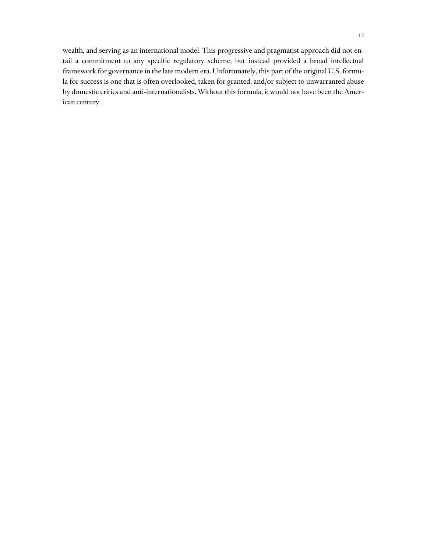wealth, and serving as an international model. This progressive and pragmatist approach did not entail a commitment to any specific regulatory scheme, but instead provided a broad intellectual framework for governance in the late modern era. Unfortunately, this part of the original U.S. formula for success is one that is often overlooked, taken for granted, and/or subject to unwarranted abuse by domestic critics and anti-internationalists. Without this formula, it would not have been the American century.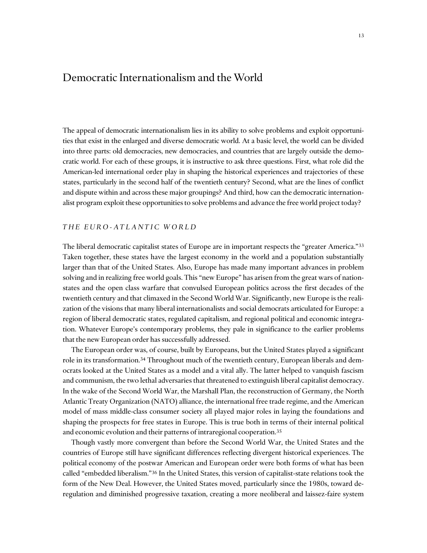## Democratic Internationalism and the World

The appeal of democratic internationalism lies in its ability to solve problems and exploit opportunities that exist in the enlarged and diverse democratic world. At a basic level, the world can be divided into three parts: old democracies, new democracies, and countries that are largely outside the democratic world. For each of these groups, it is instructive to ask three questions. First, what role did the American-led international order play in shaping the historical experiences and trajectories of these states, particularly in the second half of the twentieth century? Second, what are the lines of conflict and dispute within and across these major groupings? And third, how can the democratic internationalist program exploit these opportunities to solve problems and advance the free world project today?

#### *THE EURO-ATLANTIC WORLD*

The liberal democratic capitalist states of Europe are in important respects the "greater America."33 Taken together, these states have the largest economy in the world and a population substantially larger than that of the United States. Also, Europe has made many important advances in problem solving and in realizing free world goals. This "new Europe" has arisen from the great wars of nationstates and the open class warfare that convulsed European politics across the first decades of the twentieth century and that climaxed in the Second World War. Significantly, new Europe is the realization of the visions that many liberal internationalists and social democrats articulated for Europe: a region of liberal democratic states, regulated capitalism, and regional political and economic integration. Whatever Europe's contemporary problems, they pale in significance to the earlier problems that the new European order has successfully addressed.

The European order was, of course, built by Europeans, but the United States played a significant role in its transformation.<sup>34</sup> Throughout much of the twentieth century, European liberals and democrats looked at the United States as a model and a vital ally. The latter helped to vanquish fascism and communism, the two lethal adversaries that threatened to extinguish liberal capitalist democracy. In the wake of the Second World War, the Marshall Plan, the reconstruction of Germany, the North Atlantic Treaty Organization (NATO) alliance, the international free trade regime, and the American model of mass middle-class consumer society all played major roles in laying the foundations and shaping the prospects for free states in Europe. This is true both in terms of their internal political and economic evolution and their patterns of intraregional cooperation.35

 Though vastly more convergent than before the Second World War, the United States and the countries of Europe still have significant differences reflecting divergent historical experiences. The political economy of the postwar American and European order were both forms of what has been called "embedded liberalism."36 In the United States, this version of capitalist-state relations took the form of the New Deal. However, the United States moved, particularly since the 1980s, toward deregulation and diminished progressive taxation, creating a more neoliberal and laissez-faire system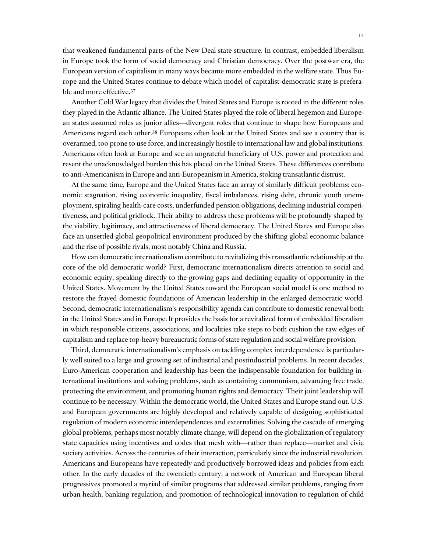that weakened fundamental parts of the New Deal state structure. In contrast, embedded liberalism in Europe took the form of social democracy and Christian democracy. Over the postwar era, the European version of capitalism in many ways became more embedded in the welfare state. Thus Europe and the United States continue to debate which model of capitalist-democratic state is preferable and more effective.37

Another Cold War legacy that divides the United States and Europe is rooted in the different roles they played in the Atlantic alliance. The United States played the role of liberal hegemon and European states assumed roles as junior allies—divergent roles that continue to shape how Europeans and Americans regard each other.<sup>38</sup> Europeans often look at the United States and see a country that is overarmed, too prone to use force, and increasingly hostile to international law and global institutions. Americans often look at Europe and see an ungrateful beneficiary of U.S. power and protection and resent the unacknowledged burden this has placed on the United States. These differences contribute to anti-Americanism in Europe and anti-Europeanism in America, stoking transatlantic distrust.

At the same time, Europe and the United States face an array of similarly difficult problems: economic stagnation, rising economic inequality, fiscal imbalances, rising debt, chronic youth unemployment, spiraling health-care costs, underfunded pension obligations, declining industrial competitiveness, and political gridlock. Their ability to address these problems will be profoundly shaped by the viability, legitimacy, and attractiveness of liberal democracy. The United States and Europe also face an unsettled global geopolitical environment produced by the shifting global economic balance and the rise of possible rivals, most notably China and Russia.

How can democratic internationalism contribute to revitalizing this transatlantic relationship at the core of the old democratic world? First, democratic internationalism directs attention to social and economic equity, speaking directly to the growing gaps and declining equality of opportunity in the United States. Movement by the United States toward the European social model is one method to restore the frayed domestic foundations of American leadership in the enlarged democratic world. Second, democratic internationalism's responsibility agenda can contribute to domestic renewal both in the United States and in Europe. It provides the basis for a revitalized form of embedded liberalism in which responsible citizens, associations, and localities take steps to both cushion the raw edges of capitalism and replace top-heavy bureaucratic forms of state regulation and social welfare provision.

Third, democratic internationalism's emphasis on tackling complex interdependence is particularly well suited to a large and growing set of industrial and postindustrial problems. In recent decades, Euro-American cooperation and leadership has been the indispensable foundation for building international institutions and solving problems, such as containing communism, advancing free trade, protecting the environment, and promoting human rights and democracy. Their joint leadership will continue to be necessary. Within the democratic world, the United States and Europe stand out. U.S. and European governments are highly developed and relatively capable of designing sophisticated regulation of modern economic interdependences and externalities. Solving the cascade of emerging global problems, perhaps most notably climate change, will depend on the globalization of regulatory state capacities using incentives and codes that mesh with—rather than replace—market and civic society activities. Across the centuries of their interaction, particularly since the industrial revolution, Americans and Europeans have repeatedly and productively borrowed ideas and policies from each other. In the early decades of the twentieth century, a network of American and European liberal progressives promoted a myriad of similar programs that addressed similar problems, ranging from urban health, banking regulation, and promotion of technological innovation to regulation of child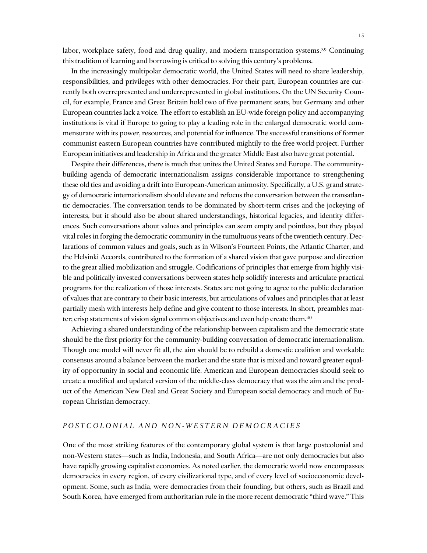labor, workplace safety, food and drug quality, and modern transportation systems.<sup>39</sup> Continuing this tradition of learning and borrowing is critical to solving this century's problems.

In the increasingly multipolar democratic world, the United States will need to share leadership, responsibilities, and privileges with other democracies. For their part, European countries are currently both overrepresented and underrepresented in global institutions. On the UN Security Council, for example, France and Great Britain hold two of five permanent seats, but Germany and other European countries lack a voice. The effort to establish an EU-wide foreign policy and accompanying institutions is vital if Europe to going to play a leading role in the enlarged democratic world commensurate with its power, resources, and potential for influence. The successful transitions of former communist eastern European countries have contributed mightily to the free world project. Further European initiatives and leadership in Africa and the greater Middle East also have great potential.

Despite their differences, there is much that unites the United States and Europe. The communitybuilding agenda of democratic internationalism assigns considerable importance to strengthening these old ties and avoiding a drift into European-American animosity. Specifically, a U.S. grand strategy of democratic internationalism should elevate and refocus the conversation between the transatlantic democracies. The conversation tends to be dominated by short-term crises and the jockeying of interests, but it should also be about shared understandings, historical legacies, and identity differences. Such conversations about values and principles can seem empty and pointless, but they played vital roles in forging the democratic community in the tumultuous years of the twentieth century. Declarations of common values and goals, such as in Wilson's Fourteen Points, the Atlantic Charter, and the Helsinki Accords, contributed to the formation of a shared vision that gave purpose and direction to the great allied mobilization and struggle. Codifications of principles that emerge from highly visible and politically invested conversations between states help solidify interests and articulate practical programs for the realization of those interests. States are not going to agree to the public declaration of values that are contrary to their basic interests, but articulations of values and principles that at least partially mesh with interests help define and give content to those interests. In short, preambles matter; crisp statements of vision signal common objectives and even help create them.<sup>40</sup>

Achieving a shared understanding of the relationship between capitalism and the democratic state should be the first priority for the community-building conversation of democratic internationalism. Though one model will never fit all, the aim should be to rebuild a domestic coalition and workable consensus around a balance between the market and the state that is mixed and toward greater equality of opportunity in social and economic life. American and European democracies should seek to create a modified and updated version of the middle-class democracy that was the aim and the product of the American New Deal and Great Society and European social democracy and much of European Christian democracy.

#### *POSTCOLONIAL AND NON- WESTERN DEMOCRACIES*

One of the most striking features of the contemporary global system is that large postcolonial and non-Western states—such as India, Indonesia, and South Africa—are not only democracies but also have rapidly growing capitalist economies. As noted earlier, the democratic world now encompasses democracies in every region, of every civilizational type, and of every level of socioeconomic development. Some, such as India, were democracies from their founding, but others, such as Brazil and South Korea, have emerged from authoritarian rule in the more recent democratic "third wave." This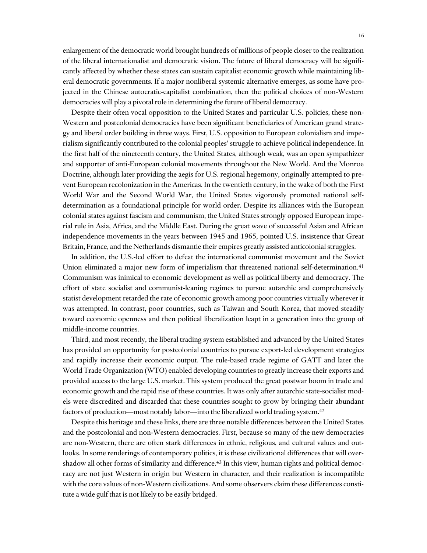enlargement of the democratic world brought hundreds of millions of people closer to the realization of the liberal internationalist and democratic vision. The future of liberal democracy will be significantly affected by whether these states can sustain capitalist economic growth while maintaining liberal democratic governments. If a major nonliberal systemic alternative emerges, as some have projected in the Chinese autocratic-capitalist combination, then the political choices of non-Western democracies will play a pivotal role in determining the future of liberal democracy.

Despite their often vocal opposition to the United States and particular U.S. policies, these non-Western and postcolonial democracies have been significant beneficiaries of American grand strategy and liberal order building in three ways. First, U.S. opposition to European colonialism and imperialism significantly contributed to the colonial peoples' struggle to achieve political independence. In the first half of the nineteenth century, the United States, although weak, was an open sympathizer and supporter of anti-European colonial movements throughout the New World. And the Monroe Doctrine, although later providing the aegis for U.S. regional hegemony, originally attempted to prevent European recolonization in the Americas. In the twentieth century, in the wake of both the First World War and the Second World War, the United States vigorously promoted national selfdetermination as a foundational principle for world order. Despite its alliances with the European colonial states against fascism and communism, the United States strongly opposed European imperial rule in Asia, Africa, and the Middle East. During the great wave of successful Asian and African independence movements in the years between 1945 and 1965, pointed U.S. insistence that Great Britain, France, and the Netherlands dismantle their empires greatly assisted anticolonial struggles.

In addition, the U.S.-led effort to defeat the international communist movement and the Soviet Union eliminated a major new form of imperialism that threatened national self-determination.41 Communism was inimical to economic development as well as political liberty and democracy. The effort of state socialist and communist-leaning regimes to pursue autarchic and comprehensively statist development retarded the rate of economic growth among poor countries virtually wherever it was attempted. In contrast, poor countries, such as Taiwan and South Korea, that moved steadily toward economic openness and then political liberalization leapt in a generation into the group of middle-income countries.

Third, and most recently, the liberal trading system established and advanced by the United States has provided an opportunity for postcolonial countries to pursue export-led development strategies and rapidly increase their economic output. The rule-based trade regime of GATT and later the World Trade Organization (WTO) enabled developing countries to greatly increase their exports and provided access to the large U.S. market. This system produced the great postwar boom in trade and economic growth and the rapid rise of these countries. It was only after autarchic state-socialist models were discredited and discarded that these countries sought to grow by bringing their abundant factors of production—most notably labor—into the liberalized world trading system.42

Despite this heritage and these links, there are three notable differences between the United States and the postcolonial and non-Western democracies. First, because so many of the new democracies are non-Western, there are often stark differences in ethnic, religious, and cultural values and outlooks. In some renderings of contemporary politics, it is these civilizational differences that will overshadow all other forms of similarity and difference.<sup>43</sup> In this view, human rights and political democracy are not just Western in origin but Western in character, and their realization is incompatible with the core values of non-Western civilizations. And some observers claim these differences constitute a wide gulf that is not likely to be easily bridged.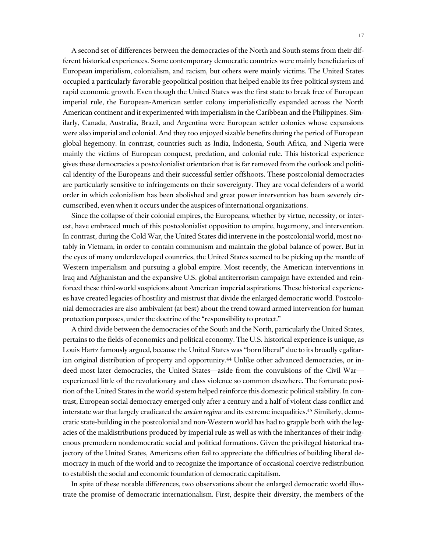A second set of differences between the democracies of the North and South stems from their different historical experiences. Some contemporary democratic countries were mainly beneficiaries of European imperialism, colonialism, and racism, but others were mainly victims. The United States occupied a particularly favorable geopolitical position that helped enable its free political system and rapid economic growth. Even though the United States was the first state to break free of European imperial rule, the European-American settler colony imperialistically expanded across the North American continent and it experimented with imperialism in the Caribbean and the Philippines. Similarly, Canada, Australia, Brazil, and Argentina were European settler colonies whose expansions were also imperial and colonial. And they too enjoyed sizable benefits during the period of European global hegemony. In contrast, countries such as India, Indonesia, South Africa, and Nigeria were mainly the victims of European conquest, predation, and colonial rule. This historical experience gives these democracies a postcolonialist orientation that is far removed from the outlook and political identity of the Europeans and their successful settler offshoots. These postcolonial democracies are particularly sensitive to infringements on their sovereignty. They are vocal defenders of a world order in which colonialism has been abolished and great power intervention has been severely circumscribed, even when it occurs under the auspices of international organizations.

Since the collapse of their colonial empires, the Europeans, whether by virtue, necessity, or interest, have embraced much of this postcolonialist opposition to empire, hegemony, and intervention. In contrast, during the Cold War, the United States did intervene in the postcolonial world, most notably in Vietnam, in order to contain communism and maintain the global balance of power. But in the eyes of many underdeveloped countries, the United States seemed to be picking up the mantle of Western imperialism and pursuing a global empire. Most recently, the American interventions in Iraq and Afghanistan and the expansive U.S. global antiterrorism campaign have extended and reinforced these third-world suspicions about American imperial aspirations. These historical experiences have created legacies of hostility and mistrust that divide the enlarged democratic world. Postcolonial democracies are also ambivalent (at best) about the trend toward armed intervention for human protection purposes, under the doctrine of the "responsibility to protect."

A third divide between the democracies of the South and the North, particularly the United States, pertains to the fields of economics and political economy. The U.S. historical experience is unique, as Louis Hartz famously argued, because the United States was "born liberal" due to its broadly egalitarian original distribution of property and opportunity.<sup>44</sup> Unlike other advanced democracies, or indeed most later democracies, the United States—aside from the convulsions of the Civil War experienced little of the revolutionary and class violence so common elsewhere. The fortunate position of the United States in the world system helped reinforce this domestic political stability. In contrast, European social democracy emerged only after a century and a half of violent class conflict and interstate war that largely eradicated the *ancien regime* and its extreme inequalities.45 Similarly, democratic state-building in the postcolonial and non-Western world has had to grapple both with the legacies of the maldistributions produced by imperial rule as well as with the inheritances of their indigenous premodern nondemocratic social and political formations. Given the privileged historical trajectory of the United States, Americans often fail to appreciate the difficulties of building liberal democracy in much of the world and to recognize the importance of occasional coercive redistribution to establish the social and economic foundation of democratic capitalism.

In spite of these notable differences, two observations about the enlarged democratic world illustrate the promise of democratic internationalism. First, despite their diversity, the members of the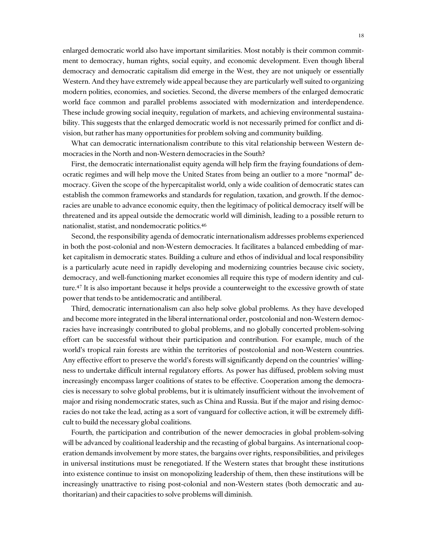enlarged democratic world also have important similarities. Most notably is their common commitment to democracy, human rights, social equity, and economic development. Even though liberal democracy and democratic capitalism did emerge in the West, they are not uniquely or essentially Western. And they have extremely wide appeal because they are particularly well suited to organizing modern polities, economies, and societies. Second, the diverse members of the enlarged democratic world face common and parallel problems associated with modernization and interdependence. These include growing social inequity, regulation of markets, and achieving environmental sustainability. This suggests that the enlarged democratic world is not necessarily primed for conflict and division, but rather has many opportunities for problem solving and community building.

What can democratic internationalism contribute to this vital relationship between Western democracies in the North and non-Western democracies in the South?

First, the democratic internationalist equity agenda will help firm the fraying foundations of democratic regimes and will help move the United States from being an outlier to a more "normal" democracy. Given the scope of the hypercapitalist world, only a wide coalition of democratic states can establish the common frameworks and standards for regulation, taxation, and growth. If the democracies are unable to advance economic equity, then the legitimacy of political democracy itself will be threatened and its appeal outside the democratic world will diminish, leading to a possible return to nationalist, statist, and nondemocratic politics.46

Second, the responsibility agenda of democratic internationalism addresses problems experienced in both the post-colonial and non-Western democracies. It facilitates a balanced embedding of market capitalism in democratic states. Building a culture and ethos of individual and local responsibility is a particularly acute need in rapidly developing and modernizing countries because civic society, democracy, and well-functioning market economies all require this type of modern identity and culture.<sup>47</sup> It is also important because it helps provide a counterweight to the excessive growth of state power that tends to be antidemocratic and antiliberal.

Third, democratic internationalism can also help solve global problems. As they have developed and become more integrated in the liberal international order, postcolonial and non-Western democracies have increasingly contributed to global problems, and no globally concerted problem-solving effort can be successful without their participation and contribution. For example, much of the world's tropical rain forests are within the territories of postcolonial and non-Western countries. Any effective effort to preserve the world's forests will significantly depend on the countries' willingness to undertake difficult internal regulatory efforts. As power has diffused, problem solving must increasingly encompass larger coalitions of states to be effective. Cooperation among the democracies is necessary to solve global problems, but it is ultimately insufficient without the involvement of major and rising nondemocratic states, such as China and Russia. But if the major and rising democracies do not take the lead, acting as a sort of vanguard for collective action, it will be extremely difficult to build the necessary global coalitions.

Fourth, the participation and contribution of the newer democracies in global problem-solving will be advanced by coalitional leadership and the recasting of global bargains. As international cooperation demands involvement by more states, the bargains over rights, responsibilities, and privileges in universal institutions must be renegotiated. If the Western states that brought these institutions into existence continue to insist on monopolizing leadership of them, then these institutions will be increasingly unattractive to rising post-colonial and non-Western states (both democratic and authoritarian) and their capacities to solve problems will diminish.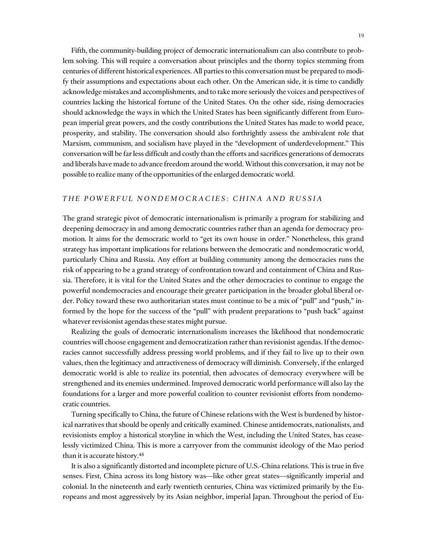Fifth, the community-building project of democratic internationalism can also contribute to problem solving. This will require a conversation about principles and the thorny topics stemming from centuries of different historical experiences. All parties to this conversation must be prepared to modify their assumptions and expectations about each other. On the American side, it is time to candidly acknowledge mistakes and accomplishments, and to take more seriously the voices and perspectives of countries lacking the historical fortune of the United States. On the other side, rising democracies should acknowledge the ways in which the United States has been significantly different from European imperial great powers, and the costly contributions the United States has made to world peace, prosperity, and stability. The conversation should also forthrightly assess the ambivalent role that Marxism, communism, and socialism have played in the "development of underdevelopment." This conversation will be far less difficult and costly than the efforts and sacrifices generations of democrats and liberals have made to advance freedom around the world. Without this conversation, it may not be possible to realize many of the opportunities of the enlarged democratic world.

#### *THE POWERFUL NONDEMOCRACIES: CHINA AND RUSSIA*

The grand strategic pivot of democratic internationalism is primarily a program for stabilizing and deepening democracy in and among democratic countries rather than an agenda for democracy promotion. It aims for the democratic world to "get its own house in order." Nonetheless, this grand strategy has important implications for relations between the democratic and nondemocratic world, particularly China and Russia. Any effort at building community among the democracies runs the risk of appearing to be a grand strategy of confrontation toward and containment of China and Russia. Therefore, it is vital for the United States and the other democracies to continue to engage the powerful nondemocracies and encourage their greater participation in the broader global liberal order. Policy toward these two authoritarian states must continue to be a mix of "pull" and "push," informed by the hope for the success of the "pull" with prudent preparations to "push back" against whatever revisionist agendas these states might pursue.

Realizing the goals of democratic internationalism increases the likelihood that nondemocratic countries will choose engagement and democratization rather than revisionist agendas. If the democracies cannot successfully address pressing world problems, and if they fail to live up to their own values, then the legitimacy and attractiveness of democracy will diminish. Conversely, if the enlarged democratic world is able to realize its potential, then advocates of democracy everywhere will be strengthened and its enemies undermined. Improved democratic world performance will also lay the foundations for a larger and more powerful coalition to counter revisionist efforts from nondemocratic countries.

Turning specifically to China, the future of Chinese relations with the West is burdened by historical narratives that should be openly and critically examined. Chinese antidemocrats, nationalists, and revisionists employ a historical storyline in which the West, including the United States, has ceaselessly victimized China. This is more a carryover from the communist ideology of the Mao period than it is accurate history.48

It is also a significantly distorted and incomplete picture of U.S.-China relations. This is true in five senses. First, China across its long history was—like other great states—significantly imperial and colonial. In the nineteenth and early twentieth centuries, China was victimized primarily by the Europeans and most aggressively by its Asian neighbor, imperial Japan. Throughout the period of Eu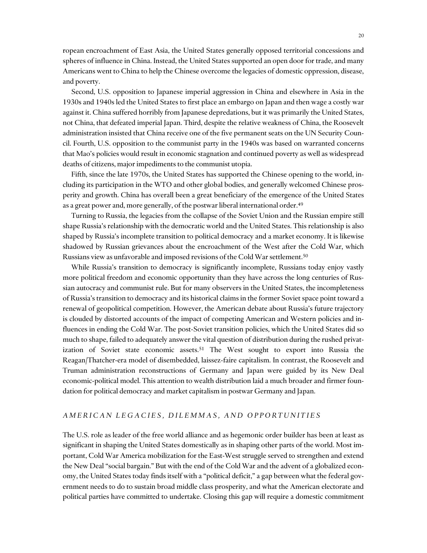ropean encroachment of East Asia, the United States generally opposed territorial concessions and spheres of influence in China. Instead, the United States supported an open door for trade, and many Americans went to China to help the Chinese overcome the legacies of domestic oppression, disease, and poverty.

Second, U.S. opposition to Japanese imperial aggression in China and elsewhere in Asia in the 1930s and 1940s led the United States to first place an embargo on Japan and then wage a costly war against it. China suffered horribly from Japanese depredations, but it was primarily the United States, not China, that defeated imperial Japan. Third, despite the relative weakness of China, the Roosevelt administration insisted that China receive one of the five permanent seats on the UN Security Council. Fourth, U.S. opposition to the communist party in the 1940s was based on warranted concerns that Mao's policies would result in economic stagnation and continued poverty as well as widespread deaths of citizens, major impediments to the communist utopia.

Fifth, since the late 1970s, the United States has supported the Chinese opening to the world, including its participation in the WTO and other global bodies, and generally welcomed Chinese prosperity and growth. China has overall been a great beneficiary of the emergence of the United States as a great power and, more generally, of the postwar liberal international order.<sup>49</sup>

Turning to Russia, the legacies from the collapse of the Soviet Union and the Russian empire still shape Russia's relationship with the democratic world and the United States. This relationship is also shaped by Russia's incomplete transition to political democracy and a market economy. It is likewise shadowed by Russian grievances about the encroachment of the West after the Cold War, which Russians view as unfavorable and imposed revisions of the Cold War settlement.50

While Russia's transition to democracy is significantly incomplete, Russians today enjoy vastly more political freedom and economic opportunity than they have across the long centuries of Russian autocracy and communist rule. But for many observers in the United States, the incompleteness of Russia's transition to democracy and its historical claims in the former Soviet space point toward a renewal of geopolitical competition. However, the American debate about Russia's future trajectory is clouded by distorted accounts of the impact of competing American and Western policies and influences in ending the Cold War. The post-Soviet transition policies, which the United States did so much to shape, failed to adequately answer the vital question of distribution during the rushed privatization of Soviet state economic assets.<sup>51</sup> The West sought to export into Russia the Reagan/Thatcher-era model of disembedded, laissez-faire capitalism. In contrast, the Roosevelt and Truman administration reconstructions of Germany and Japan were guided by its New Deal economic-political model. This attention to wealth distribution laid a much broader and firmer foundation for political democracy and market capitalism in postwar Germany and Japan.

#### *AMERICAN LEGACIES, DILEMMAS, AND OPPORTUNITIES*

The U.S. role as leader of the free world alliance and as hegemonic order builder has been at least as significant in shaping the United States domestically as in shaping other parts of the world. Most important, Cold War America mobilization for the East-West struggle served to strengthen and extend the New Deal "social bargain." But with the end of the Cold War and the advent of a globalized economy, the United States today finds itself with a "political deficit," a gap between what the federal government needs to do to sustain broad middle class prosperity, and what the American electorate and political parties have committed to undertake. Closing this gap will require a domestic commitment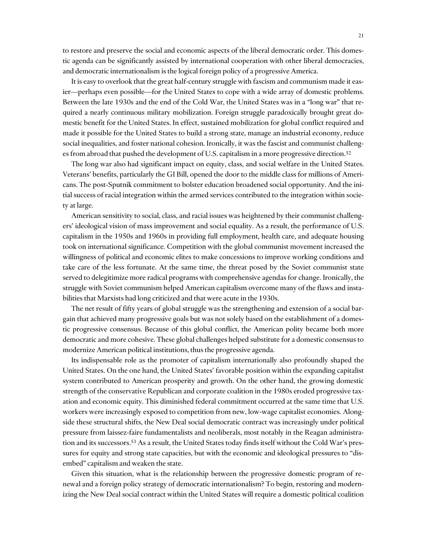to restore and preserve the social and economic aspects of the liberal democratic order. This domestic agenda can be significantly assisted by international cooperation with other liberal democracies, and democratic internationalism is the logical foreign policy of a progressive America.

It is easy to overlook that the great half-century struggle with fascism and communism made it easier—perhaps even possible—for the United States to cope with a wide array of domestic problems. Between the late 1930s and the end of the Cold War, the United States was in a "long war" that required a nearly continuous military mobilization. Foreign struggle paradoxically brought great domestic benefit for the United States. In effect, sustained mobilization for global conflict required and made it possible for the United States to build a strong state, manage an industrial economy, reduce social inequalities, and foster national cohesion. Ironically, it was the fascist and communist challenges from abroad that pushed the development of U.S. capitalism in a more progressive direction.<sup>52</sup>

The long war also had significant impact on equity, class, and social welfare in the United States. Veterans' benefits, particularly the GI Bill, opened the door to the middle class for millions of Americans. The post-Sputnik commitment to bolster education broadened social opportunity. And the initial success of racial integration within the armed services contributed to the integration within society at large.

American sensitivity to social, class, and racial issues was heightened by their communist challengers' ideological vision of mass improvement and social equality. As a result, the performance of U.S. capitalism in the 1950s and 1960s in providing full employment, health care, and adequate housing took on international significance. Competition with the global communist movement increased the willingness of political and economic elites to make concessions to improve working conditions and take care of the less fortunate. At the same time, the threat posed by the Soviet communist state served to delegitimize more radical programs with comprehensive agendas for change. Ironically, the struggle with Soviet communism helped American capitalism overcome many of the flaws and instabilities that Marxists had long criticized and that were acute in the 1930s.

The net result of fifty years of global struggle was the strengthening and extension of a social bargain that achieved many progressive goals but was not solely based on the establishment of a domestic progressive consensus. Because of this global conflict, the American polity became both more democratic and more cohesive. These global challenges helped substitute for a domestic consensus to modernize American political institutions, thus the progressive agenda.

Its indispensable role as the promoter of capitalism internationally also profoundly shaped the United States. On the one hand, the United States' favorable position within the expanding capitalist system contributed to American prosperity and growth. On the other hand, the growing domestic strength of the conservative Republican and corporate coalition in the 1980s eroded progressive taxation and economic equity. This diminished federal commitment occurred at the same time that U.S. workers were increasingly exposed to competition from new, low-wage capitalist economies. Alongside these structural shifts, the New Deal social democratic contract was increasingly under political pressure from laissez-faire fundamentalists and neoliberals, most notably in the Reagan administration and its successors.53 As a result, the United States today finds itself without the Cold War's pressures for equity and strong state capacities, but with the economic and ideological pressures to "disembed" capitalism and weaken the state.

Given this situation, what is the relationship between the progressive domestic program of renewal and a foreign policy strategy of democratic internationalism? To begin, restoring and modernizing the New Deal social contract within the United States will require a domestic political coalition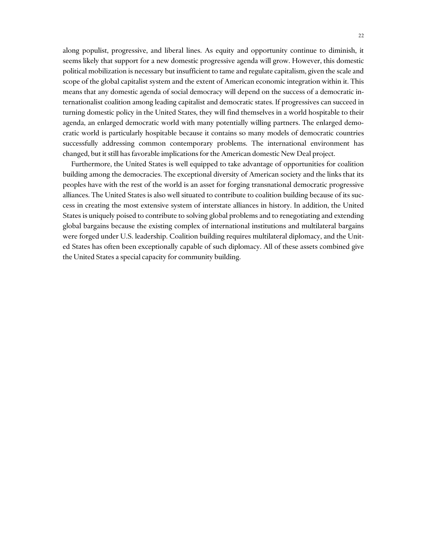along populist, progressive, and liberal lines. As equity and opportunity continue to diminish, it seems likely that support for a new domestic progressive agenda will grow. However, this domestic political mobilization is necessary but insufficient to tame and regulate capitalism, given the scale and scope of the global capitalist system and the extent of American economic integration within it. This means that any domestic agenda of social democracy will depend on the success of a democratic internationalist coalition among leading capitalist and democratic states. If progressives can succeed in turning domestic policy in the United States, they will find themselves in a world hospitable to their agenda, an enlarged democratic world with many potentially willing partners. The enlarged democratic world is particularly hospitable because it contains so many models of democratic countries successfully addressing common contemporary problems. The international environment has changed, but it still has favorable implications for the American domestic New Deal project.

Furthermore, the United States is well equipped to take advantage of opportunities for coalition building among the democracies. The exceptional diversity of American society and the links that its peoples have with the rest of the world is an asset for forging transnational democratic progressive alliances. The United States is also well situated to contribute to coalition building because of its success in creating the most extensive system of interstate alliances in history. In addition, the United States is uniquely poised to contribute to solving global problems and to renegotiating and extending global bargains because the existing complex of international institutions and multilateral bargains were forged under U.S. leadership. Coalition building requires multilateral diplomacy, and the United States has often been exceptionally capable of such diplomacy. All of these assets combined give the United States a special capacity for community building.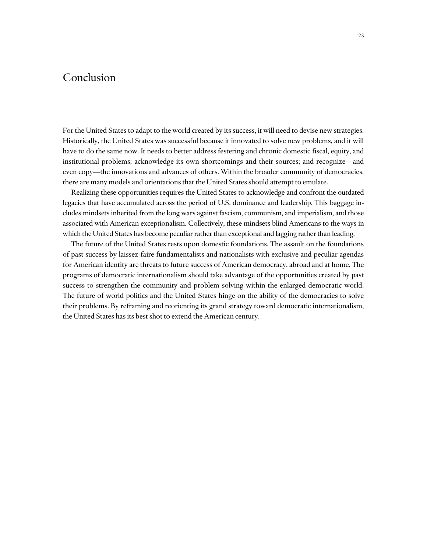## Conclusion

For the United States to adapt to the world created by its success, it will need to devise new strategies. Historically, the United States was successful because it innovated to solve new problems, and it will have to do the same now. It needs to better address festering and chronic domestic fiscal, equity, and institutional problems; acknowledge its own shortcomings and their sources; and recognize—and even copy—the innovations and advances of others. Within the broader community of democracies, there are many models and orientations that the United States should attempt to emulate.

Realizing these opportunities requires the United States to acknowledge and confront the outdated legacies that have accumulated across the period of U.S. dominance and leadership. This baggage includes mindsets inherited from the long wars against fascism, communism, and imperialism, and those associated with American exceptionalism. Collectively, these mindsets blind Americans to the ways in which the United States has become peculiar rather than exceptional and lagging rather than leading.

The future of the United States rests upon domestic foundations. The assault on the foundations of past success by laissez-faire fundamentalists and nationalists with exclusive and peculiar agendas for American identity are threats to future success of American democracy, abroad and at home. The programs of democratic internationalism should take advantage of the opportunities created by past success to strengthen the community and problem solving within the enlarged democratic world. The future of world politics and the United States hinge on the ability of the democracies to solve their problems. By reframing and reorienting its grand strategy toward democratic internationalism, the United States has its best shot to extend the American century.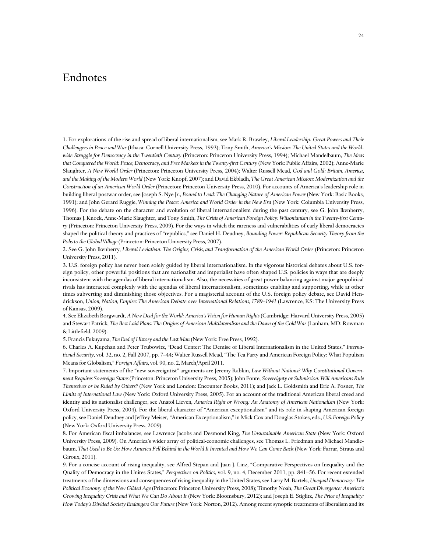## Endnotes

 $\overline{a}$ 

2. See G. John Ikenberry, *Liberal Leviathan: The Origins, Crisis, and Transformation of the American World Order* (Princeton: Princeton University Press, 2011).

4. See Elizabeth Borgwardt, *A New Deal for the World: America's Vision for Human Rights* (Cambridge: Harvard University Press, 2005) and Stewart Patrick, *The Best Laid Plans: The Origins of American Multilateralism and the Dawn of the Cold War* (Lanham, MD: Rowman & Littlefield, 2009).

6. Charles A. Kupchan and Peter Trubowitz, "Dead Center: The Demise of Liberal Internationalism in the United States," *International Security*, vol. 32, no. 2, Fall 2007, pp. 7–44; Walter Russell Mead, "The Tea Party and American Foreign Policy: What Populism Means for Globalism," *Foreign Affairs*, vol. 90, no. 2, March/April 2011.

7. Important statements of the "new sovereigntist" arguments are Jeremy Rabkin, *Law Without Nations? Why Constitutional Government Requires Sovereign States* (Princeton: Princeton University Press, 2005); John Fonte, *Sovereignty or Submission: Will Americans Rule Themselves or be Ruled by Others?* (New York and London: Encounter Books, 2011); and Jack L. Goldsmith and Eric A. Posner, *The Limits of International Law* (New York: Oxford University Press, 2005). For an account of the traditional American liberal creed and identity and its nationalist challenger, see Anatol Lieven, *America Right or Wrong: An Anatomy of American Nationalism* (New York: Oxford University Press, 2004). For the liberal character of "American exceptionalism" and its role in shaping American foreign policy, see Daniel Deudney and Jeffrey Meiser, "American Exceptionalism," in Mick Cox and Douglas Stokes, eds., *U.S. Foreign Policy* (New York: Oxford University Press, 2009).

8. For American fiscal imbalances, see Lawrence Jacobs and Desmond King, *The Unsustainable American State* (New York: Oxford University Press, 2009). On America's wider array of political-economic challenges, see Thomas L. Friedman and Michael Mandlebaum, *That Used to Be Us: How America Fell Behind in the World It Invented and How We Can Come Back* (New York: Farrar, Straus and Giroux, 2011).

9. For a concise account of rising inequality, see Alfred Stepan and Juan J. Linz, "Comparative Perspectives on Inequality and the Quality of Democracy in the Unites States," *Perspectives on Politics*, vol. 9, no. 4, December 2011, pp. 841–56. For recent extended treatments of the dimensions and consequences of rising inequality in the United States, see Larry M. Bartels, *Unequal Democracy: The Political Economy of the New Gilded Age* (Princeton: Princeton University Press, 2008); Timothy Noah, *The Great Divergence: America's Growing Inequality Crisis and What We Can Do About It* (New York: Bloomsbury, 2012); and Joseph E. Stiglitz, *The Price of Inequality: How Today's Divided Society Endangers Our Future* (New York: Norton, 2012). Among recent synoptic treatments of liberalism and its

<sup>1.</sup> For explorations of the rise and spread of liberal internationalism, see Mark R. Brawley, *Liberal Leadership: Great Powers and Their Challengers in Peace and War* (Ithaca: Cornell University Press, 1993); Tony Smith, *America's Mission: The United States and the Worldwide Struggle for Democracy in the Twentieth Century* (Princeton: Princeton University Press, 1994); Michael Mandelbaum, *The Ideas*  that Conquered the World: Peace, Democracy, and Free Markets in the Twenty-first Century (New York: Public Affairs, 2002); Anne-Marie Slaughter, *A New World Order* (Princeton: Princeton University Press, 2004); Walter Russell Mead, *God and Gold: Britain, America, and the Making of the Modern World* (New York: Knopf, 2007); and David Ekbladh, *The Great American Mission: Modernization and the Construction of an American World Order* (Princeton: Princeton University Press, 2010). For accounts of America's leadership role in building liberal postwar order, see Joseph S. Nye Jr., *Bound to Lead: The Changing Nature of American Power* (New York: Basic Books, 1991); and John Gerard Ruggie, *Winning the Peace: America and World Order in the New Era* (New York: Columbia University Press, 1996). For the debate on the character and evolution of liberal internationalism during the past century, see G. John Ikenberry, Thomas J. Knock, Anne-Marie Slaughter, and Tony Smith, *The Crisis of American Foreign Policy: Wilsonianism in the Twenty-first Century* (Princeton: Princeton University Press, 2009). For the ways in which the rareness and vulnerabilities of early liberal democracies shaped the political theory and practices of "republics," see Daniel H. Deudney, *Bounding Power: Republican Security Theory from the Polis to the Global Village* (Princeton: Princeton University Press, 2007).

<sup>3.</sup> U.S. foreign policy has never been solely guided by liberal internationalism. In the vigorous historical debates about U.S. foreign policy, other powerful positions that are nationalist and imperialist have often shaped U.S. policies in ways that are deeply inconsistent with the agendas of liberal internationalism. Also, the necessities of great power balancing against major geopolitical rivals has interacted complexly with the agendas of liberal internationalism, sometimes enabling and supporting, while at other times subverting and diminishing those objectives. For a magisterial account of the U.S. foreign policy debate, see David Hendrickson, *Union, Nation, Empire: The American Debate over International Relations, 1789–1941* (Lawrence, KS: The University Press of Kansas, 2009).

<sup>5.</sup> Francis Fukuyama, *The End of History and the Last Man* (New York: Free Press, 1992).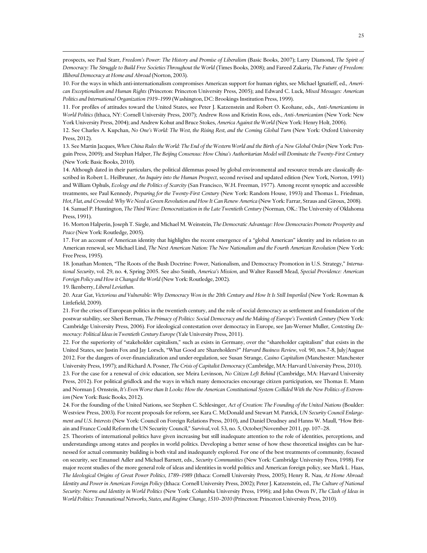prospects, see Paul Starr, *Freedom's Power: The History and Promise of Liberalism* (Basic Books, 2007); Larry Diamond, *The Spirit of Democracy: The Struggle to Build Free Societies Throughout the World* (Times Books, 2008); and Fareed Zakaria, *The Future of Freedom: Illiberal Democracy at Home and Abroad* (Norton, 2003).

10. For the ways in which anti-internationalism compromises American support for human rights, see Michael Ignatieff, ed., *American Exceptionalism and Human Rights* (Princeton: Princeton University Press, 2005); and Edward C. Luck, *Mixed Messages: American Politics and International Organization 1919–1999* (Washington, DC: Brookings Institution Press, 1999).

11. For profiles of attitudes toward the United States, see Peter J. Katzenstein and Robert O. Keohane, eds., *Anti-Americanisms in World Politics* (Ithaca, NY: Cornell University Press, 2007); Andrew Ross and Kristin Ross, eds., *Anti-Americanism* (New York: New York University Press, 2004); and Andrew Kohut and Bruce Stokes, *America Against the World* (New York: Henry Holt, 2006).

12. See Charles A. Kupchan, *No One's World: The West, the Rising Rest, and the Coming Global Turn* (New York: Oxford University Press, 2012).

13. See Martin Jacques, *When China Rules the World: The End of the Western World and the Birth of a New Global Order* (New York: Penguin Press, 2009); and Stephan Halper, *The Beijing Consensus: How China's Authoritarian Model will Dominate the Twenty-First Century* (New York: Basic Books, 2010).

14. Although dated in their particulars, the political dilemmas posed by global environmental and resource trends are classically described in Robert L. Heilbruner, *An Inquiry into the Human Prospect*, second revised and updated edition (New York, Norton, 1991) and William Ophuls, *Ecology and the Politics of Scarcity* (San Francisco, W.H. Freeman, 1977). Among recent synoptic and accessible treatments, see Paul Kennedy, *Preparing for the Twenty-First Century* (New York: Random House, 1993) and Thomas L. Friedman, *Hot, Flat, and Crowded: Why We Need a Green Revolution and How It Can Renew America* (New York: Farrar, Straus and Giroux, 2008). 14. Samuel P. Huntington, *The Third Wave: Democratization in the Late Twentieth Century* (Norman, OK.: The University of Oklahoma Press, 1991).

16. Morton Halperin, Joseph T. Siegle, and Michael M. Weinstein, *The Democratic Advantage: How Democracies Promote Prosperity and Peace* (New York: Routledge, 2005).

17. For an account of American identity that highlights the recent emergence of a "global American" identity and its relation to an American renewal, see Michael Lind, *The Next American Nation: The New Nationalism and the Fourth American Revolution* (New York: Free Press, 1995).

18. Jonathan Monten, "The Roots of the Bush Doctrine: Power, Nationalism, and Democracy Promotion in U.S. Strategy," *International Security*, vol. 29, no. 4, Spring 2005. See also Smith, *America's Mission*, and Walter Russell Mead, *Special Providence: American Foreign Policy and How it Changed the World* (New York: Routledge, 2002).

19. Ikenberry, *Liberal Leviathan*.

 $\overline{a}$ 

20. Azar Gat, *Victorious and Vulnerable: Why Democracy Won in the 20th Century and How It Is Still Imperiled* (New York: Rowman & Littlefield, 2009).

21. For the crises of European politics in the twentieth century, and the role of social democracy as settlement and foundation of the postwar stability, see Sheri Berman, *The Primacy of Politics: Social Democracy and the Making of Europe's Twentieth Century* (New York: Cambridge University Press, 2006). For ideological contestation over democracy in Europe, see Jan-Werner Muller, *Contesting Democracy: Political Ideas in Twentieth Century Europe* (Yale University Press, 2011).

22. For the superiority of "stakeholder capitalism," such as exists in Germany, over the "shareholder capitalism" that exists in the United States, see Justin Fox and Jay Lorsch, "What Good are Shareholders?" *Harvard Business Review*, vol. 90, nos.7-8, July/August 2012. For the dangers of over-financialization and under-regulation, see Susan Strange, *Casino Capitalism* (Manchester: Manchester University Press, 1997); and Richard A. Posner, *The Crisis of Capitalist Democracy* (Cambridge, MA: Harvard University Press, 2010). 23. For the case for a renewal of civic education, see Meira Levinson, *No Citizen Left Behind* (Cambridge, MA: Harvard University Press, 2012). For political gridlock and the ways in which many democracies encourage citizen participation, see Thomas E. Mann and Norman J. Ornstein, *It's Even Worse than It Looks: How the American Constitutional System Collided With the New Politics of Extremism* (New York: Basic Books, 2012).

24. For the founding of the United Nations, see Stephen C. Schlesinger, *Act of Creation: The Founding of the United Nations* (Boulder: Westview Press, 2003). For recent proposals for reform, see Kara C. McDonald and Stewart M. Patrick, *UN Security Council Enlargement and U.S. Interests* (New York: Council on Foreign Relations Press, 2010), and Daniel Deudney and Hanns W. Maull, "How Britain and France Could Reform the UN Security Council," *Survival*, vol. 53, no. 5, October/November 2011, pp. 107–28.

25. Theorists of international politics have given increasing but still inadequate attention to the role of identities, perceptions, and understandings among states and peoples in world politics. Developing a better sense of how these theoretical insights can be harnessed for actual community building is both vital and inadequately explored. For one of the best treatments of community, focused on security, see Emanuel Adler and Michael Barnett, eds., *Security Communities* (New York: Cambridge University Press, 1998). For major recent studies of the more general role of ideas and identities in world politics and American foreign policy, see Mark L. Haas, *The Ideological Origins of Great Power Politics, 1789–1989* (Ithaca: Cornell University Press, 2005); Henry R. Nau, *At Home Abroad: Identity and Power in American Foreign Policy* (Ithaca: Cornell University Press, 2002); Peter J. Katzenstein, ed., *The Culture of National Security: Norms and Identity in World Politics* (New York: Columbia University Press, 1996); and John Owen IV, *The Clash of Ideas in World Politics: Transnational Networks, States, and Regime Change, 1510–2010* (Princeton: Princeton University Press, 2010).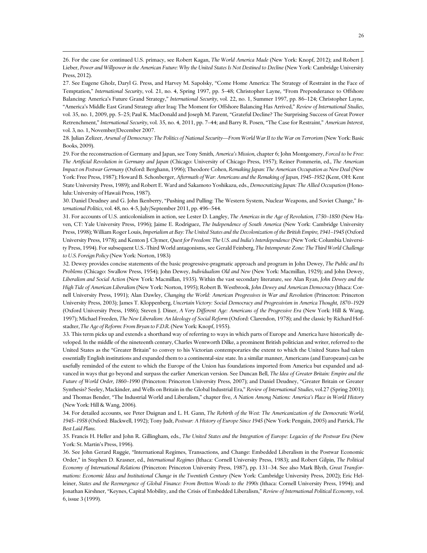26. For the case for continued U.S. primacy, see Robert Kagan, *The World America Made* (New York: Knopf, 2012); and Robert J. Lieber, *Power and Willpower in the American Future: Why the United States Is Not Destined to Decline* (New York: Cambridge University Press, 2012).

 $\overline{a}$ 

27. See Eugene Gholz, Daryl G. Press, and Harvey M. Sapolsky, "Come Home America: The Strategy of Restraint in the Face of Temptation," *International Security*, vol. 21, no. 4, Spring 1997, pp. 5–48; Christopher Layne, "From Preponderance to Offshore Balancing: America's Future Grand Strategy," *International Security*, vol. 22, no. 1, Summer 1997, pp. 86–124; Christopher Layne, "America's Middle East Grand Strategy after Iraq: The Moment for Offshore Balancing Has Arrived," *Review of International Studies*, vol. 35, no. 1, 2009, pp. 5–25; Paul K. MacDonald and Joseph M. Parent, "Grateful Decline? The Surprising Success of Great Power Retrenchment," *International Security*, vol. 35, no. 4, 2011, pp. 7–44; and Barry R. Posen, "The Case for Restraint," *American Interest*, vol. 3, no. 1, November/December 2007.

28. Julian Zelizer, *Arsenal of Democracy: The Politics of National Security—From World War II to the War on Terrorism* (New York: Basic Books, 2009).

29. For the reconstruction of Germany and Japan, see Tony Smith, *America's Mission*, chapter 6; John Montgomery, *Forced to be Free: The Artificial Revolution in Germany and Japan* (Chicago: University of Chicago Press, 1957); Reiner Pommerin, ed., *The American Impact on Postwar Germany* (Oxford: Berghann, 1996); Theodore Cohen, *Remaking Japan: The American Occupation as New Deal* (New York: Free Press, 1987); Howard B. Schonberger, *Aftermath of War: Americans and the Remaking of Japan, 1945–1952* (Kent, OH: Kent State University Press, 1989); and Robert E. Ward and Sakamoto Yoshikazu, eds., *Democratizing Japan: The Allied Occupation* (Honolulu: University of Hawaii Press, 1987).

30. Daniel Deudney and G. John Ikenberry, "Pushing and Pulling: The Western System, Nuclear Weapons, and Soviet Change," *International Politics*, vol. 48, no. 4-5, July/September 2011, pp. 496–544.

31. For accounts of U.S. anticolonialism in action, see Lester D. Langley, *The Americas in the Age of Revolution, 1750–1850* (New Haven, CT: Yale University Press, 1996); Jaime E. Rodriguez, *The Independence of South America* (New York: Cambridge University Press, 1998); William Roger Louis, *Imperialism at Bay: The United States and the Decolonization of the British Empire, 1941–1945* (Oxford University Press, 1978); and Kenton J. Clymer, *Quest for Freedom: The U.S. and India's Interdependence* (New York: Columbia University Press, 1994). For subsequent U.S.-Third World antagonisms, see Gerald Feinberg, *The Intemperate Zone: The Third World Challenge to U.S. Foreign Policy* (New York: Norton, 1983)

32. Dewey provides concise statements of the basic progressive-pragmatic approach and program in John Dewey, *The Public and Its Problems* (Chicago: Swallow Press, 1954); John Dewey, *Individualism Old and New* (New York: Macmillan, 1929); and John Dewey, *Liberalism and Social Action* (New York: Macmillan, 1935). Within the vast secondary literature, see Alan Ryan, *John Dewey and the High Tide of American Liberalism* (New York: Norton, 1995); Robert B. Westbrook, *John Dewey and American Democracy* (Ithaca: Cornell University Press, 1991); Alan Dawley, *Changing the World: American Progressives in War and Revolution* (Princeton: Princeton University Press, 2003); James T. Kloppenberg, *Uncertain Victory: Social Democracy and Progressivism in America Thought, 1870–1929* (Oxford University Press, 1986); Steven J. Diner, *A Very Different Age: Americans of the Progressive Era* (New York: Hill & Wang, 1997); Michael Freeden, *The New Liberalism: An Ideology of Social Reform* (Oxford: Clarendon, 1978); and the classic by Richard Hofstadter, *The Age of Reform: From Bryan to F.D.R.* (New York: Knopf, 1955).

33. This term picks up and extends a shorthand way of referring to ways in which parts of Europe and America have historically developed. In the middle of the nineteenth century, Charles Wentworth Dilke, a prominent British politician and writer, referred to the United States as the "Greater Britain" to convey to his Victorian contemporaries the extent to which the United States had taken essentially English institutions and expanded them to a continental-size state. In a similar manner, Americans (and Europeans) can be usefully reminded of the extent to which the Europe of the Union has foundations imported from America but expanded and advanced in ways that go beyond and surpass the earlier American version. See Duncan Bell, *The Idea of Greater Britain: Empire and the Future of World Order, 1860–1990* (Princeton: Princeton University Press, 2007); and Daniel Deudney, "Greater Britain or Greater Synthesis? Seeley, Mackinder, and Wells on Britain in the Global Industrial Era," *Review of International Studies*, vol.27 (Spring 2001); and Thomas Bender, "The Industrial World and Liberalism," chapter five, *A Nation Among Nations: America's Place in World History* (New York: Hill & Wang, 2006).

34. For detailed accounts, see Peter Duignan and L. H. Gann, *The Rebirth of the West: The Americanization of the Democratic World, 1945–1958* (Oxford: Blackwell, 1992); Tony Judt, *Postwar: A History of Europe Since 1945* (New York: Penguin, 2005) and Patrick, *The Best Laid Plans*.

35. Francis H. Heller and John R. Gillingham, eds., *The United States and the Integration of Europe: Legacies of the Postwar Era* (New York: St. Martin's Press, 1996).

36. See John Gerard Ruggie, "International Regimes, Transactions, and Change: Embedded Liberalism in the Postwar Economic Order," in Stephen D. Krasner, ed., *International Regimes* (Ithaca: Cornell University Press, 1983); and Robert Gilpin, *The Political Economy of International Relations* (Princeton: Princeton University Press, 1987), pp. 131–34. See also Mark Blyth, *Great Transfor*mations: Economic Ideas and Institutional Change in the Twentieth Century (New York: Cambridge University Press, 2002); Eric Helleiner, States and the Reemergence of Global Finance: From Bretton Woods to the 1990s (Ithaca: Cornell University Press, 1994); and Jonathan Kirshner, "Keynes, Capital Mobility, and the Crisis of Embedded Liberalism," *Review of International Political Economy*, vol. 6, issue 3 (1999).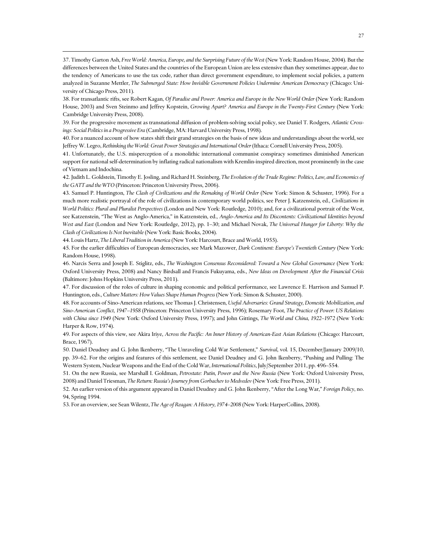37. Timothy Garton Ash, *Free World: America, Europe, and the Surprising Future of the West* (New York: Random House, 2004). But the differences between the United States and the countries of the European Union are less extensive than they sometimes appear, due to the tendency of Americans to use the tax code, rather than direct government expenditure, to implement social policies, a pattern analyzed in Suzanne Mettler, *The Submerged State: How Invisible Government Policies Undermine American Democracy* (Chicago: University of Chicago Press, 2011).

38. For transatlantic rifts, see Robert Kagan, *Of Paradise and Power: America and Europe in the New World Order* (New York: Random House, 2003) and Sven Steinmo and Jeffrey Kopstein, *Growing Apart? America and Europe in the Twenty-First Century* (New York: Cambridge University Press, 2008).

39. For the progressive movement as transnational diffusion of problem-solving social policy, see Daniel T. Rodgers, *Atlantic Crossings: Social Politics in a Progressive Era* (Cambridge, MA: Harvard University Press, 1998).

40. For a nuanced account of how states shift their grand strategies on the basis of new ideas and understandings about the world, see Jeffrey W. Legro, *Rethinking the World: Great Power Strategies and International Order* (Ithaca: Cornell University Press, 2005).

41. Unfortunately, the U.S. misperception of a monolithic international communist conspiracy sometimes diminished American support for national self-determination by inflating radical nationalism with Kremlin-inspired direction, most prominently in the case of Vietnam and Indochina.

42. Judith L. Goldstein, Timothy E. Josling, and Richard H. Steinberg, *The Evolution of the Trade Regime: Politics, Law, and Economics of the GATT and the WTO* (Princeton: Princeton University Press, 2006).

43. Samuel P. Huntington, *The Clash of Civilizations and the Remaking of World Order* (New York: Simon & Schuster, 1996). For a much more realistic portrayal of the role of civilizations in contemporary world politics, see Peter J. Katzenstein, ed., *Civilizations in World Politics: Plural and Pluralist Perspectives* (London and New York: Routledge, 2010); and, for a civilizational portrait of the West, see Katzenstein, "The West as Anglo-America," in Katzenstein, ed., *Anglo-America and Its Discontents: Civilizational Identities beyond West and East* (London and New York: Routledge, 2012), pp. 1–30; and Michael Novak, *The Universal Hunger for Liberty: Why the Clash of Civilizations Is Not Inevitable* (New York: Basic Books, 2004).

44. Louis Hartz, *The Liberal Tradition in America* (New York: Harcourt, Brace and World, 1955).

 $\overline{a}$ 

45. For the earlier difficulties of European democracies, see Mark Mazower, *Dark Continent: Europe's Twentieth Century* (New York: Random House, 1998).

46. Narcis Serra and Joseph E. Stiglitz, eds., *The Washington Consensus Reconsidered: Toward a New Global Governance* (New York: Oxford University Press, 2008) and Nancy Birdsall and Francis Fukuyama, eds., *New Ideas on Development After the Financial Crisis* (Baltimore: Johns Hopkins University Press, 2011).

47. For discussion of the roles of culture in shaping economic and political performance, see Lawrence E. Harrison and Samuel P. Huntington, eds., *Culture Matters: How Values Shape Human Progress* (New York: Simon & Schuster, 2000).

48. For accounts of Sino-American relations, see Thomas J. Christensen, *Useful Adversaries: Grand Strategy, Domestic Mobilization, and Sino-American Conflict, 1947–1958* (Princeton: Princeton University Press, 1996); Rosemary Foot, *The Practice of Power: US Relations with China since 1949* (New York: Oxford University Press, 1997); and John Gittings, *The World and China, 1922–1972* (New York: Harper & Row, 1974).

49. For aspects of this view, see Akira Iriye, *Across the Pacific: An Inner History of American-East Asian Relations* (Chicago: Harcourt, Brace, 1967).

50. Daniel Deudney and G. John Ikenberry, "The Unraveling Cold War Settlement," *Survival*, vol. 15, December/January 2009/10, pp. 39–62. For the origins and features of this settlement, see Daniel Deudney and G. John Ikenberry, "Pushing and Pulling: The Western System, Nuclear Weapons and the End of the Cold War, *International Politics*, July/September 2011, pp. 496–554.

51. On the new Russia, see Marshall I. Goldman, *Petrostate: Putin, Power and the New Russia* (New York: Oxford University Press, 2008) and Daniel Triesman, *The Return: Russia's Journey from Gorbachev to Medvedev* (New York: Free Press, 2011).

52. An earlier version of this argument appeared in Daniel Deudney and G. John Ikenberry, "After the Long War," *Foreign Policy*, no. 94, Spring 1994.

53. For an overview, see Sean Wilentz, *The Age of Reagan: A History, 1974–2008* (New York: HarperCollins, 2008).